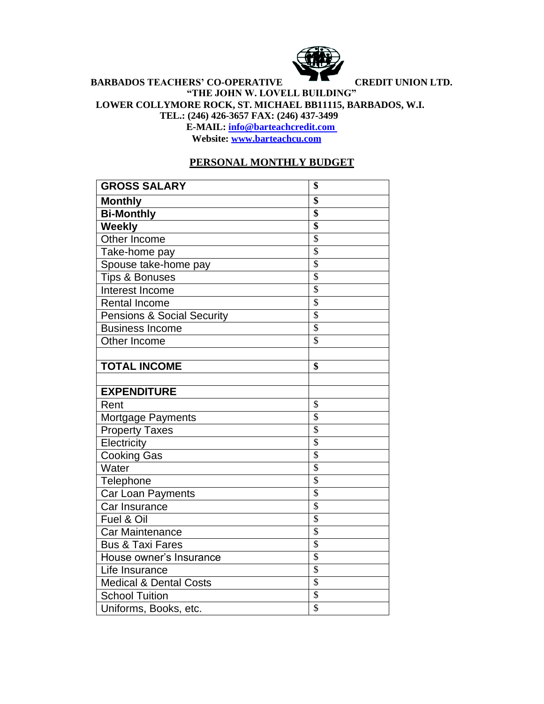

## **BARBADOS TEACHERS' CO-OPERATIVE CREDIT UNION LTD. "THE JOHN W. LOVELL BUILDING" LOWER COLLYMORE ROCK, ST. MICHAEL BB11115, BARBADOS, W.I. TEL.: (246) 426-3657 FAX: (246) 437-3499 E-MAIL: [info@barteachcredit.com](mailto:info@barteachcredit.com)**

**Website: [www.barteachcu.com](http://www.barteachcu.com/)**

## **PERSONAL MONTHLY BUDGET**

| <b>GROSS SALARY</b>                   | \$                       |
|---------------------------------------|--------------------------|
| <b>Monthly</b>                        | \$                       |
| <b>Bi-Monthly</b>                     | $\overline{\$}$          |
| <b>Weekly</b>                         | \$                       |
| Other Income                          | $\overline{\$}$          |
| Take-home pay                         | $\overline{\mathcal{S}}$ |
| Spouse take-home pay                  | $\overline{\mathcal{S}}$ |
| <b>Tips &amp; Bonuses</b>             | $\overline{\mathbb{S}}$  |
| Interest Income                       | $\overline{\mathbb{S}}$  |
| <b>Rental Income</b>                  | $\overline{\mathbb{S}}$  |
| <b>Pensions &amp; Social Security</b> | \$                       |
| <b>Business Income</b>                | $\overline{\mathbb{S}}$  |
| Other Income                          | $\overline{\mathbf{S}}$  |
|                                       |                          |
| <b>TOTAL INCOME</b>                   | \$                       |
|                                       |                          |
| <b>EXPENDITURE</b>                    |                          |
| Rent                                  | \$                       |
| Mortgage Payments                     | $\overline{\mathcal{S}}$ |
| <b>Property Taxes</b>                 | $\overline{\mathcal{S}}$ |
| Electricity                           | $\overline{\mathcal{S}}$ |
| Cooking Gas                           | $\overline{\mathcal{S}}$ |
| Water                                 | $\overline{\mathcal{S}}$ |
| Telephone                             | $\overline{\mathcal{S}}$ |
| <b>Car Loan Payments</b>              | $\overline{\mathbb{S}}$  |
| Car Insurance                         | $\overline{\mathcal{S}}$ |
| Fuel & Oil                            | $\overline{\$}$          |
| Car Maintenance                       | $\overline{\mathcal{S}}$ |
| <b>Bus &amp; Taxi Fares</b>           | $\overline{\mathbb{S}}$  |
| House owner's Insurance               | $\overline{\$}$          |
| Life Insurance                        | $\overline{\mathcal{S}}$ |
| <b>Medical &amp; Dental Costs</b>     | $\overline{\$}$          |
| <b>School Tuition</b>                 | $\overline{\$}$          |
| Uniforms, Books, etc.                 | $\overline{\mathcal{S}}$ |